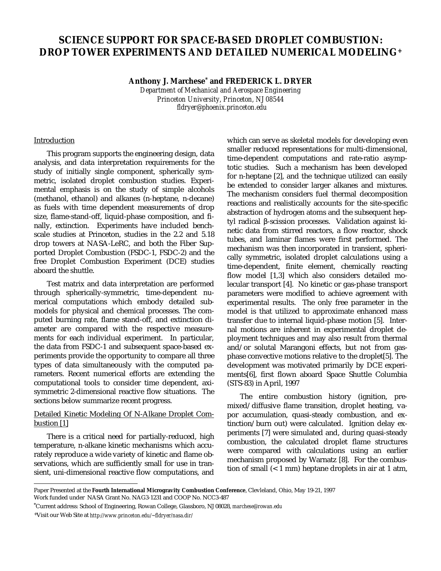# **SCIENCE SUPPORT FOR SPACE-BASED DROPLET COMBUSTION: DROP TOWER EXPERIMENTS AND DETAILED NUMERICAL MODELING+**

**Anthony J. Marchese\* and FREDERICK L. DRYER**

*Department of Mechanical and Aerospace Engineering Princeton University, Princeton, NJ 08544 fldryer@phoenix.princeton.edu*

## **Introduction**

This program supports the engineering design, data analysis, and data interpretation requirements for the study of initially single component, spherically symmetric, isolated droplet combustion studies. Experimental emphasis is on the study of simple alcohols (methanol, ethanol) and alkanes (n-heptane, n-decane) as fuels with time dependent measurements of drop size, flame-stand-off, liquid-phase composition, and finally, extinction. Experiments have included benchscale studies at Princeton, studies in the 2.2 and 5.18 drop towers at NASA-LeRC, and both the Fiber Supported Droplet Combustion (FSDC-1, FSDC-2) and the free Droplet Combustion Experiment (DCE) studies aboard the shuttle.

Test matrix and data interpretation are performed through spherically-symmetric, time-dependent numerical computations which embody detailed submodels for physical and chemical processes. The computed burning rate, flame stand-off, and extinction diameter are compared with the respective measurements for each individual experiment. In particular, the data from FSDC-1 and subsequent space-based experiments provide the opportunity to compare all three types of data simultaneously with the computed parameters. Recent numerical efforts are extending the computational tools to consider time dependent, axisymmetric 2-dimensional reactive flow situations. The sections below summarize recent progress.

# Detailed Kinetic Modeling Of N-Alkane Droplet Combustion [1]

There is a critical need for partially-reduced, high temperature, n-alkane kinetic mechanisms which accurately reproduce a wide variety of kinetic and flame observations, which are sufficiently small for use in transient, uni-dimensional reactive flow computations, and which can serve as skeletal models for developing even smaller reduced representations for multi-dimensional, time-dependent computations and rate-ratio asymptotic studies. Such a mechanism has been developed for n-heptane [2], and the technique utilized can easily be extended to consider larger alkanes and mixtures. The mechanism considers fuel thermal decomposition reactions and realistically accounts for the site-specific abstraction of hydrogen atoms and the subsequent heptyl radical β-scission processes. Validation against kinetic data from stirred reactors, a flow reactor, shock tubes, and laminar flames were first performed. The mechanism was then incorporated in transient, spherically symmetric, isolated droplet calculations using a time-dependent, finite element, chemically reacting flow model [1,3] which also considers detailed molecular transport [4]. No kinetic or gas-phase transport parameters were modified to achieve agreement with experimental results. The only free parameter in the model is that utilized to approximate enhanced mass transfer due to internal liquid-phase motion [5]. Internal motions are inherent in experimental droplet deployment techniques and may also result from thermal and/or solutal Marangoni effects, but not from gasphase convective motions relative to the droplet[5]. The development was motivated primarily by DCE experiments[6], first flown aboard Space Shuttle Columbia (STS-83) in April, 1997

The entire combustion history (ignition, premixed/diffusive flame transition, droplet heating, vapor accumulation, quasi-steady combustion, and extinction/burn out) were calculated. Ignition delay experiments [7] were simulated and, during quasi-steady combustion, the calculated droplet flame structures were compared with calculations using an earlier mechanism proposed by Warnatz [8]. For the combustion of small (< 1 mm) heptane droplets in air at 1 atm,

÷,

Paper Presented at the **Fourth International Microgravity Combustion Conference**, Clevleland, Ohio, May 19-21, 1997 Work funded under NASA Grant No. NAG3-1231 and COOP No. NCC3-487

<sup>\*</sup>Current address: School of Engineering, Rowan College, Glassboro, NJ 08028, *marchese@rowan.edu*

<sup>+</sup>Visit our Web Site at *http://www.princeton.edu/~fldryer/nasa.dir/*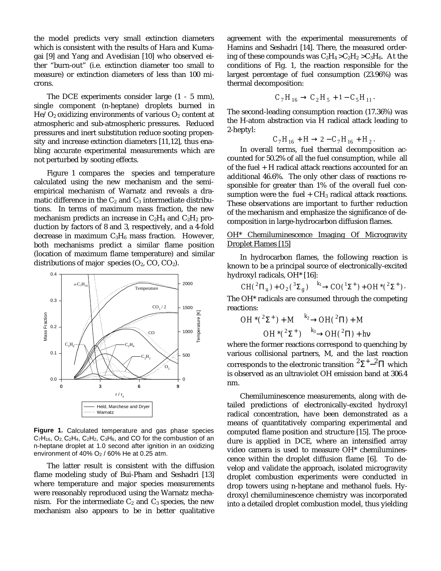the model predicts very small extinction diameters which is consistent with the results of Hara and Kumagai [9] and Yang and Avedisian [10] who observed either "burn-out" (i.e. extinction diameter too small to measure) or extinction diameters of less than 100 microns.

The DCE experiments consider large (1 - 5 mm), single component (n-heptane) droplets burned in  $He/O<sub>2</sub>$  oxidizing environments of various  $O<sub>2</sub>$  content at atmospheric and sub-atmospheric pressures. Reduced pressures and inert substitution reduce sooting propensity and increase extinction diameters [11,12], thus enabling accurate experimental measurements which are not perturbed by sooting effects.

Figure 1 compares the species and temperature calculated using the new mechanism and the semiempirical mechanism of Warnatz and reveals a dramatic difference in the  $C_2$  and  $C_3$  intermediate distributions. In terms of maximum mass fraction, the new mechanism predicts an increase in  $C_2H_4$  and  $C_2H_2$  production by factors of 8 and 3, respectively, and a 4-fold decrease in maximum  $C_3H_6$  mass fraction. However, both mechanisms predict a similar flame position (location of maximum flame temperature) and similar distributions of major species  $(O_2, CO, CO_2)$ .



**Figure 1.** Calculated temperature and gas phase species  $C_7H_{16}$ ,  $O_2$ ,  $C_2H_4$ ,  $C_2H_2$ ,  $C_3H_6$ , and CO for the combustion of an n-heptane droplet at 1.0 second after ignition in an oxidizing environment of 40% O2 / 60% He at 0.25 atm.

The latter result is consistent with the diffusion flame modeling study of Bui-Pham and Seshadri [13] where temperature and major species measurements were reasonably reproduced using the Warnatz mechanism. For the intermediate  $C_2$  and  $C_3$  species, the new mechanism also appears to be in better qualitative

agreement with the experimental measurements of Hamins and Seshadri [14]. There, the measured ordering of these compounds was  $C_2H_4 > C_2H_2 > C_3H_6$ . At the conditions of Fig. 1, the reaction responsible for the largest percentage of fuel consumption (23.96%) was thermal decomposition:

$$
C_7H_{16} \to C_2H_5 + 1 - C_5H_{11}.
$$

The second-leading consumption reaction (17.36%) was the H-atom abstraction via H radical attack leading to 2-heptyl:

$$
C_7H_{16} + H \rightarrow 2 - C_7H_{16} + H_2.
$$

In overall terms, fuel thermal decomposition accounted for 50.2% of all the fuel consumption, while all of the fuel + H radical attack reactions accounted for an additional 46.6%. The only other class of reactions responsible for greater than 1% of the overall fuel consumption were the  $fuel + CH_3$  radical attack reactions. These observations are important to further reduction of the mechanism and emphasize the significance of decomposition in large-hydrocarbon diffusion flames.

## OH\* Chemiluminescence Imaging Of Microgravity Droplet Flames [15]

In hydrocarbon flames, the following reaction is known to be a principal source of electronically-excited hydroxyl radicals, OH\* [16]:

 $CH(^{2}\Pi_{u}) + O_{2} (^{3}\Sigma_{g}) \xrightarrow{k_{1}} CO(^{1}\Sigma^{+}) + OH^{*}({}^{2}\Sigma^{+}).$ 

The OH\* radicals are consumed through the competing reactions:

$$
OH*(^{2}\Sigma^{+}) + M \xrightarrow{k_{2}} OH(^{2}\Pi) + M
$$

$$
OH*(^{2}\Sigma^{+}) \xrightarrow{k_{3}} OH(^{2}\Pi) + hv
$$

where the former reactions correspond to quenching by various collisional partners, M, and the last reaction corresponds to the electronic transition  ${}^{2}\Sigma^{+} - {}^{2}\Pi$  which is observed as an ultraviolet OH emission band at 306.4 nm.

Chemiluminescence measurements, along with detailed predictions of electronically-excited hydroxyl radical concentration, have been demonstrated as a means of quantitatively comparing experimental and computed flame position and structure [15]. The procedure is applied in DCE, where an intensified array video camera is used to measure OH\* chemiluminescence within the droplet diffusion flame [6]. To develop and validate the approach, isolated microgravity droplet combustion experiments were conducted in drop towers using n-heptane and methanol fuels. Hydroxyl chemiluminescence chemistry was incorporated into a detailed droplet combustion model, thus yielding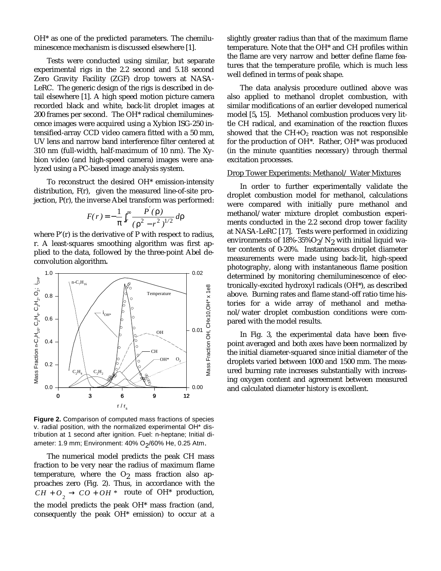OH\* as one of the predicted parameters. The chemiluminescence mechanism is discussed elsewhere [1].

Tests were conducted using similar, but separate experimental rigs in the 2.2 second and 5.18 second Zero Gravity Facility (ZGF) drop towers at NASA-LeRC. The generic design of the rigs is described in detail elsewhere [1]. A high speed motion picture camera recorded black and white, back-lit droplet images at 200 frames per second. The OH\* radical chemiluminescence images were acquired using a Xybion ISG-250 intensified-array CCD video camera fitted with a 50 mm, UV lens and narrow band interference filter centered at 310 nm (full-width, half-maximum of 10 nm). The Xybion video (and high-speed camera) images were analyzed using a PC-based image analysis system.

To reconstruct the desired OH\* emission-intensity distribution, F(r), given the measured line-of-site projection, P(r), the inverse Abel transform was performed:

$$
F(r) = -\frac{1}{\pi} \int_{r}^{\infty} \frac{P(\rho)}{(\rho^2 - r^2)^{1/2}} d\rho
$$

where P'(r) is the derivative of P with respect to radius, r. A least-squares smoothing algorithm was first applied to the data, followed by the three-point Abel deconvolution algorithm**.**



**Figure 2.** Comparison of computed mass fractions of species v. radial position, with the normalized experimental OH\* distribution at 1 second after ignition. Fuel: n-heptane; Initial diameter: 1.9 mm; Environment: 40% O<sub>2</sub>/60% He, 0.25 Atm.

The numerical model predicts the peak CH mass fraction to be very near the radius of maximum flame temperature, where the  $O_2$  mass fraction also approaches zero (Fig. 2). Thus, in accordance with the  $CH + O_2 \rightarrow CO + OH$  \* route of OH<sup>\*</sup> production, the model predicts the peak OH\* mass fraction (and, consequently the peak OH\* emission) to occur at a slightly greater radius than that of the maximum flame temperature. Note that the OH\* and CH profiles within the flame are very narrow and better define flame features that the temperature profile, which is much less well defined in terms of peak shape.

The data analysis procedure outlined above was also applied to methanol droplet combustion, with similar modifications of an earlier developed numerical model [5**,** 15]. Methanol combustion produces very little CH radical, and examination of the reaction fluxes showed that the  $CH+O<sub>2</sub>$  reaction was not responsible for the production of OH\*. Rather, OH\* was produced (in the minute quantities necessary) through thermal excitation processes.

#### Drop Tower Experiments: Methanol/ Water Mixtures

In order to further experimentally validate the droplet combustion model for methanol, calculations were compared with initially pure methanol and methanol/water mixture droplet combustion experiments conducted in the 2.2 second drop tower facility at NASA-LeRC [17]. Tests were performed in oxidizing environments of  $18\% - 35\%$ O<sub>2</sub>/N<sub>2</sub> with initial liquid water contents of 0-20%. Instantaneous droplet diameter measurements were made using back-lit, high-speed photography, along with instantaneous flame position determined by monitoring chemiluminescence of electronically-excited hydroxyl radicals (OH\*), as described above. Burning rates and flame stand-off ratio time histories for a wide array of methanol and methanol/water droplet combustion conditions were compared with the model results.

In Fig. 3, the experimental data have been fivepoint averaged and both axes have been normalized by the initial diameter-squared since initial diameter of the droplets varied between 1000 and 1500 mm. The measured burning rate increases substantially with increasing oxygen content and agreement between measured and calculated diameter history is excellent.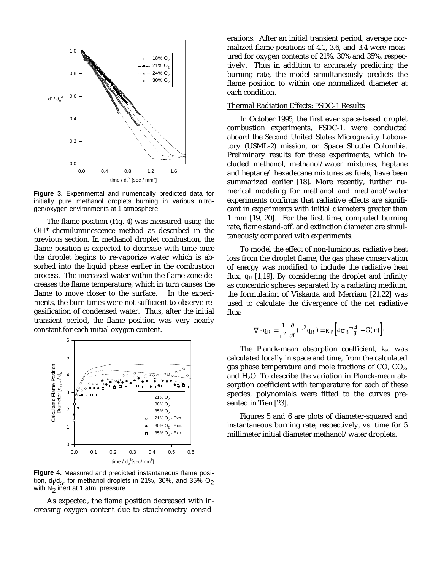

**Figure 3.** Experimental and numerically predicted data for initially pure methanol droplets burning in various nitrogen/oxygen environments at 1 atmosphere.

The flame position (Fig. 4) was measured using the OH\* chemiluminescence method as described in the previous section. In methanol droplet combustion, the flame position is expected to decrease with time once the droplet begins to re-vaporize water which is absorbed into the liquid phase earlier in the combustion process. The increased water within the flame zone decreases the flame temperature, which in turn causes the flame to move closer to the surface. In the experiments, the burn times were not sufficient to observe regasification of condensed water. Thus, after the initial transient period, the flame position was very nearly constant for each initial oxygen content.



**Figure 4.** Measured and predicted instantaneous flame position, d<sub>f</sub>/d<sub>s</sub>, for methanol droplets in 21%, 30%, and 35% O<sub>2</sub> with  $N<sub>2</sub>$  inert at 1 atm. pressure.

As expected, the flame position decreased with increasing oxygen content due to stoichiometry considerations. After an initial transient period, average normalized flame positions of 4.1, 3.6, and 3.4 were measured for oxygen contents of 21%, 30% and 35%, respectively. Thus in addition to accurately predicting the burning rate, the model simultaneously predicts the flame position to within one normalized diameter at each condition.

## Thermal Radiation Effects: FSDC-1 Results

In October 1995, the first ever space-based droplet combustion experiments, FSDC-1, were conducted aboard the Second United States Microgravity Laboratory (USML-2) mission, on Space Shuttle Columbia. Preliminary results for these experiments, which included methanol, methanol/water mixtures, heptane and heptane/ hexadecane mixtures as fuels, have been summarized earlier [18]. More recently, further numerical modeling for methanol and methanol/water experiments confirms that radiative effects are significant in experiments with initial diameters greater than 1 mm [19, 20]. For the first time, computed burning rate, flame stand-off, and extinction diameter are simultaneously compared with experiments.

To model the effect of non-luminous, radiative heat loss from the droplet flame, the gas phase conservation of energy was modified to include the radiative heat flux,  $q_R$  [1,19]. By considering the droplet and infinity as concentric spheres separated by a radiating medium, the formulation of Viskanta and Merriam [21,22] was used to calculate the divergence of the net radiative flux:

$$
\nabla \cdot q_R = \frac{1}{r^2} \frac{\partial}{\partial r} (r^2 q_R) = \kappa_P \Big[ 4 \sigma_B T_g^4 - G(r) \Big].
$$

The Planck-mean absorption coefficient,  $k_{P}$ , was calculated locally in space and time, from the calculated gas phase temperature and mole fractions of CO, CO2, and  $H_2O$ . To describe the variation in Planck-mean absorption coefficient with temperature for each of these species, polynomials were fitted to the curves presented in Tien [23].

Figures 5 and 6 are plots of diameter-squared and instantaneous burning rate, respectively, vs. time for 5 millimeter initial diameter methanol/water droplets.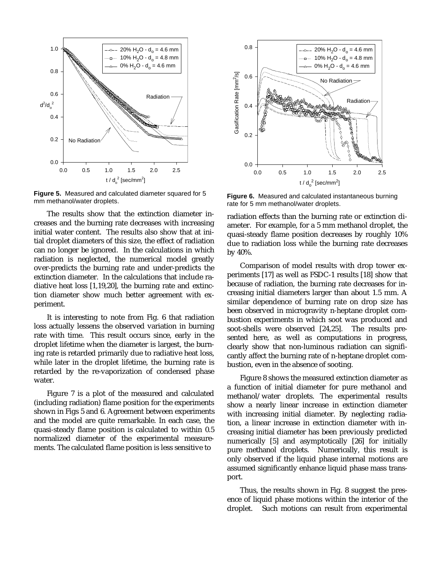

**Figure 5.** Measured and calculated diameter squared for 5 mm methanol/water droplets.

The results show that the extinction diameter increases and the burning rate decreases with increasing initial water content. The results also show that at initial droplet diameters of this size, the effect of radiation can no longer be ignored. In the calculations in which radiation is neglected, the numerical model greatly over-predicts the burning rate and under-predicts the extinction diameter. In the calculations that include radiative heat loss [1,19,20], the burning rate and extinction diameter show much better agreement with experiment.

It is interesting to note from Fig. 6 that radiation loss actually lessens the observed variation in burning rate with time. This result occurs since, early in the droplet lifetime when the diameter is largest, the burning rate is retarded primarily due to radiative heat loss, while later in the droplet lifetime, the burning rate is retarded by the re-vaporization of condensed phase water.

Figure 7 is a plot of the measured and calculated (including radiation) flame position for the experiments shown in Figs 5 and 6. Agreement between experiments and the model are quite remarkable. In each case, the quasi-steady flame position is calculated to within 0.5 normalized diameter of the experimental measurements. The calculated flame position is less sensitive to



**Figure 6.** Measured and calculated instantaneous burning rate for 5 mm methanol/water droplets.

radiation effects than the burning rate or extinction diameter. For example, for a 5 mm methanol droplet, the quasi-steady flame position decreases by roughly 10% due to radiation loss while the burning rate decreases by 40%.

Comparison of model results with drop tower experiments [17] as well as FSDC-1 results [18] show that because of radiation, the burning rate decreases for increasing initial diameters larger than about 1.5 mm. A similar dependence of burning rate on drop size has been observed in microgravity n-heptane droplet combustion experiments in which soot was produced and soot-shells were observed [24,25]. The results presented here, as well as computations in progress, clearly show that non-luminous radiation can significantly affect the burning rate of n-heptane droplet combustion, even in the absence of sooting.

Figure 8 shows the measured extinction diameter as a function of initial diameter for pure methanol and methanol/water droplets. The experimental results show a nearly linear increase in extinction diameter with increasing initial diameter. By neglecting radiation, a linear increase in extinction diameter with increasing initial diameter has been previously predicted numerically [5] and asymptotically [26] for initially pure methanol droplets. Numerically, this result is only observed if the liquid phase internal motions are assumed significantly enhance liquid phase mass transport.

Thus, the results shown in Fig. 8 suggest the presence of liquid phase motions within the interior of the droplet. Such motions can result from experimental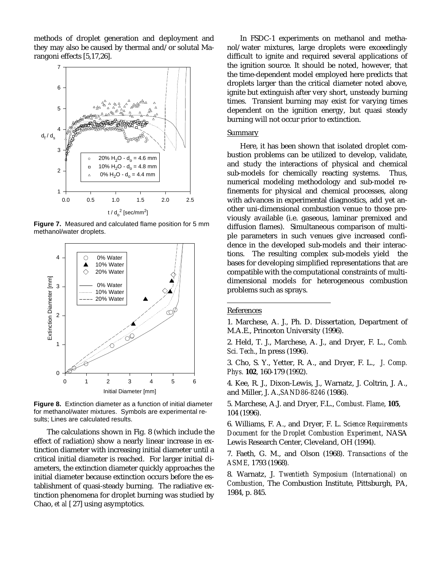methods of droplet generation and deployment and they may also be caused by thermal and/or solutal Marangoni effects [5,17,26].



**Figure 7.** Measured and calculated flame position for 5 mm methanol/water droplets.



**Figure 8.** Extinction diameter as a function of initial diameter for methanol/water mixtures. Symbols are experimental results; Lines are calculated results.

The calculations shown in Fig. 8 (which include the effect of radiation) show a nearly linear increase in extinction diameter with increasing initial diameter until a critical initial diameter is reached. For larger initial diameters, the extinction diameter quickly approaches the initial diameter because extinction occurs before the establishment of quasi-steady burning. The radiative extinction phenomena for droplet burning was studied by Chao, *et al* [ 27] using asymptotics.

In FSDC-1 experiments on methanol and methanol/water mixtures, large droplets were exceedingly difficult to ignite and required several applications of the ignition source. It should be noted, however, that the time-dependent model employed here predicts that droplets larger than the critical diameter noted above, ignite but extinguish after very short, unsteady burning times. Transient burning may exist for varying times dependent on the ignition energy, but quasi steady burning will not occur prior to extinction.

## Summary

Here, it has been shown that isolated droplet combustion problems can be utilized to develop, validate, and study the interactions of physical and chemical sub-models for chemically reacting systems. Thus, numerical modeling methodology and sub-model refinements for physical and chemical processes, along with advances in experimental diagnostics, add yet another uni-dimensional combustion venue to those previously available (i.e. gaseous, laminar premixed and diffusion flames). Simultaneous comparison of multiple parameters in such venues give increased confidence in the developed sub-models and their interactions. The resulting complex sub-models yield the bases for developing simplified representations that are compatible with the computational constraints of multidimensional models for heterogeneous combustion problems such as sprays.

# **References**

÷,

1. Marchese, A. J., Ph. D. Dissertation, Department of M.A.E., Princeton University (1996).

2. Held, T. J., Marchese, A. J., and Dryer, F. L., *Comb. Sci. Tech*., In press (1996).

3. Cho, S. Y., Yetter, R. A., and Dryer, F. L., *J. Comp. Phys.* **102**, 160-179 (1992).

4. Kee, R. J., Dixon-Lewis, J., Warnatz, J. Coltrin, J. A., and Miller, J. A.,*SAND86-8246* (1986).

5. Marchese, A.J. and Dryer, F.L., *Combust. Flame*, **105**, 104 (1996).

6. Williams, F. A., and Dryer, F. L. *Science Requirements Document for the Droplet Combustion Experiment*, NASA Lewis Research Center, Cleveland, OH (1994).

7. Faeth, G. M., and Olson (1968). *Transactions of the ASME,* 1793 (1968)*.*

8. Warnatz, J. *Twentieth Symposium (International) on Combustion,* The Combustion Institute, Pittsburgh, PA, 1984, p. 845.